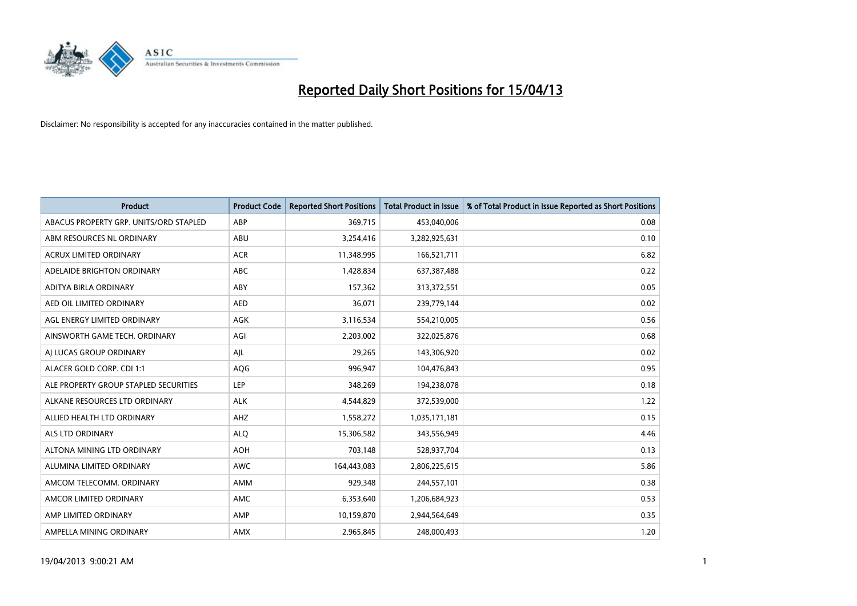

| <b>Product</b>                         | <b>Product Code</b> | <b>Reported Short Positions</b> | <b>Total Product in Issue</b> | % of Total Product in Issue Reported as Short Positions |
|----------------------------------------|---------------------|---------------------------------|-------------------------------|---------------------------------------------------------|
| ABACUS PROPERTY GRP. UNITS/ORD STAPLED | ABP                 | 369,715                         | 453,040,006                   | 0.08                                                    |
| ABM RESOURCES NL ORDINARY              | ABU                 | 3,254,416                       | 3,282,925,631                 | 0.10                                                    |
| <b>ACRUX LIMITED ORDINARY</b>          | <b>ACR</b>          | 11,348,995                      | 166,521,711                   | 6.82                                                    |
| ADELAIDE BRIGHTON ORDINARY             | <b>ABC</b>          | 1,428,834                       | 637,387,488                   | 0.22                                                    |
| ADITYA BIRLA ORDINARY                  | ABY                 | 157,362                         | 313,372,551                   | 0.05                                                    |
| AED OIL LIMITED ORDINARY               | <b>AED</b>          | 36,071                          | 239,779,144                   | 0.02                                                    |
| AGL ENERGY LIMITED ORDINARY            | AGK                 | 3,116,534                       | 554,210,005                   | 0.56                                                    |
| AINSWORTH GAME TECH. ORDINARY          | AGI                 | 2,203,002                       | 322,025,876                   | 0.68                                                    |
| AI LUCAS GROUP ORDINARY                | AJL                 | 29,265                          | 143,306,920                   | 0.02                                                    |
| ALACER GOLD CORP. CDI 1:1              | AQG                 | 996,947                         | 104,476,843                   | 0.95                                                    |
| ALE PROPERTY GROUP STAPLED SECURITIES  | <b>LEP</b>          | 348,269                         | 194,238,078                   | 0.18                                                    |
| ALKANE RESOURCES LTD ORDINARY          | <b>ALK</b>          | 4,544,829                       | 372,539,000                   | 1.22                                                    |
| ALLIED HEALTH LTD ORDINARY             | AHZ                 | 1,558,272                       | 1,035,171,181                 | 0.15                                                    |
| ALS LTD ORDINARY                       | <b>ALO</b>          | 15,306,582                      | 343,556,949                   | 4.46                                                    |
| ALTONA MINING LTD ORDINARY             | <b>AOH</b>          | 703,148                         | 528,937,704                   | 0.13                                                    |
| ALUMINA LIMITED ORDINARY               | <b>AWC</b>          | 164,443,083                     | 2,806,225,615                 | 5.86                                                    |
| AMCOM TELECOMM. ORDINARY               | AMM                 | 929,348                         | 244,557,101                   | 0.38                                                    |
| AMCOR LIMITED ORDINARY                 | <b>AMC</b>          | 6,353,640                       | 1,206,684,923                 | 0.53                                                    |
| AMP LIMITED ORDINARY                   | AMP                 | 10,159,870                      | 2,944,564,649                 | 0.35                                                    |
| AMPELLA MINING ORDINARY                | AMX                 | 2,965,845                       | 248,000,493                   | 1.20                                                    |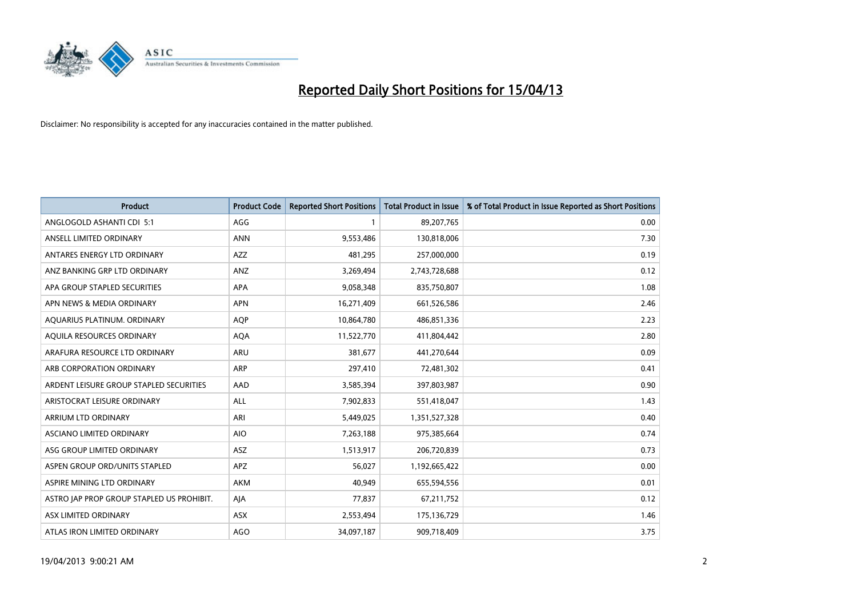

| Product                                   | <b>Product Code</b> | <b>Reported Short Positions</b> | <b>Total Product in Issue</b> | % of Total Product in Issue Reported as Short Positions |
|-------------------------------------------|---------------------|---------------------------------|-------------------------------|---------------------------------------------------------|
| ANGLOGOLD ASHANTI CDI 5:1                 | AGG                 | 1                               | 89,207,765                    | 0.00                                                    |
| ANSELL LIMITED ORDINARY                   | <b>ANN</b>          | 9,553,486                       | 130,818,006                   | 7.30                                                    |
| ANTARES ENERGY LTD ORDINARY               | AZZ                 | 481,295                         | 257,000,000                   | 0.19                                                    |
| ANZ BANKING GRP LTD ORDINARY              | ANZ                 | 3,269,494                       | 2,743,728,688                 | 0.12                                                    |
| APA GROUP STAPLED SECURITIES              | <b>APA</b>          | 9,058,348                       | 835,750,807                   | 1.08                                                    |
| APN NEWS & MEDIA ORDINARY                 | <b>APN</b>          | 16,271,409                      | 661,526,586                   | 2.46                                                    |
| AQUARIUS PLATINUM. ORDINARY               | <b>AOP</b>          | 10,864,780                      | 486,851,336                   | 2.23                                                    |
| AQUILA RESOURCES ORDINARY                 | <b>AQA</b>          | 11,522,770                      | 411,804,442                   | 2.80                                                    |
| ARAFURA RESOURCE LTD ORDINARY             | <b>ARU</b>          | 381,677                         | 441,270,644                   | 0.09                                                    |
| ARB CORPORATION ORDINARY                  | ARP                 | 297,410                         | 72,481,302                    | 0.41                                                    |
| ARDENT LEISURE GROUP STAPLED SECURITIES   | AAD                 | 3,585,394                       | 397,803,987                   | 0.90                                                    |
| ARISTOCRAT LEISURE ORDINARY               | <b>ALL</b>          | 7,902,833                       | 551,418,047                   | 1.43                                                    |
| ARRIUM LTD ORDINARY                       | ARI                 | 5,449,025                       | 1,351,527,328                 | 0.40                                                    |
| ASCIANO LIMITED ORDINARY                  | <b>AIO</b>          | 7,263,188                       | 975,385,664                   | 0.74                                                    |
| ASG GROUP LIMITED ORDINARY                | ASZ                 | 1,513,917                       | 206,720,839                   | 0.73                                                    |
| ASPEN GROUP ORD/UNITS STAPLED             | <b>APZ</b>          | 56,027                          | 1,192,665,422                 | 0.00                                                    |
| ASPIRE MINING LTD ORDINARY                | AKM                 | 40,949                          | 655,594,556                   | 0.01                                                    |
| ASTRO JAP PROP GROUP STAPLED US PROHIBIT. | AJA                 | 77,837                          | 67,211,752                    | 0.12                                                    |
| ASX LIMITED ORDINARY                      | ASX                 | 2,553,494                       | 175,136,729                   | 1.46                                                    |
| ATLAS IRON LIMITED ORDINARY               | <b>AGO</b>          | 34,097,187                      | 909,718,409                   | 3.75                                                    |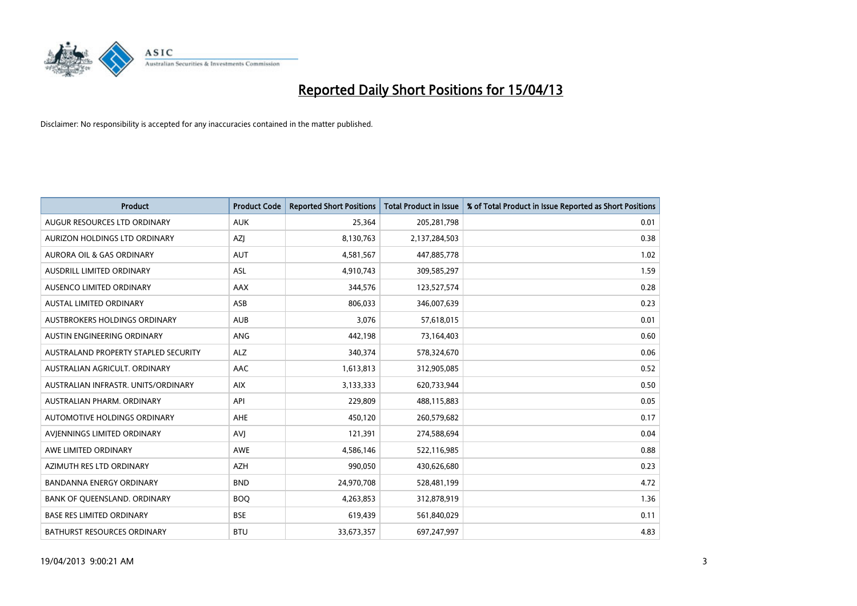

| <b>Product</b>                       | <b>Product Code</b> | <b>Reported Short Positions</b> | <b>Total Product in Issue</b> | % of Total Product in Issue Reported as Short Positions |
|--------------------------------------|---------------------|---------------------------------|-------------------------------|---------------------------------------------------------|
| AUGUR RESOURCES LTD ORDINARY         | <b>AUK</b>          | 25,364                          | 205,281,798                   | 0.01                                                    |
| AURIZON HOLDINGS LTD ORDINARY        | AZJ                 | 8,130,763                       | 2,137,284,503                 | 0.38                                                    |
| AURORA OIL & GAS ORDINARY            | <b>AUT</b>          | 4,581,567                       | 447,885,778                   | 1.02                                                    |
| AUSDRILL LIMITED ORDINARY            | <b>ASL</b>          | 4,910,743                       | 309,585,297                   | 1.59                                                    |
| AUSENCO LIMITED ORDINARY             | AAX                 | 344,576                         | 123,527,574                   | 0.28                                                    |
| AUSTAL LIMITED ORDINARY              | ASB                 | 806,033                         | 346,007,639                   | 0.23                                                    |
| AUSTBROKERS HOLDINGS ORDINARY        | <b>AUB</b>          | 3,076                           | 57,618,015                    | 0.01                                                    |
| AUSTIN ENGINEERING ORDINARY          | ANG                 | 442,198                         | 73,164,403                    | 0.60                                                    |
| AUSTRALAND PROPERTY STAPLED SECURITY | <b>ALZ</b>          | 340,374                         | 578,324,670                   | 0.06                                                    |
| AUSTRALIAN AGRICULT, ORDINARY        | AAC                 | 1,613,813                       | 312,905,085                   | 0.52                                                    |
| AUSTRALIAN INFRASTR. UNITS/ORDINARY  | <b>AIX</b>          | 3,133,333                       | 620,733,944                   | 0.50                                                    |
| AUSTRALIAN PHARM, ORDINARY           | API                 | 229,809                         | 488,115,883                   | 0.05                                                    |
| AUTOMOTIVE HOLDINGS ORDINARY         | AHE                 | 450,120                         | 260,579,682                   | 0.17                                                    |
| AVIENNINGS LIMITED ORDINARY          | <b>AVJ</b>          | 121,391                         | 274,588,694                   | 0.04                                                    |
| AWE LIMITED ORDINARY                 | <b>AWE</b>          | 4,586,146                       | 522,116,985                   | 0.88                                                    |
| AZIMUTH RES LTD ORDINARY             | <b>AZH</b>          | 990,050                         | 430,626,680                   | 0.23                                                    |
| BANDANNA ENERGY ORDINARY             | <b>BND</b>          | 24,970,708                      | 528,481,199                   | 4.72                                                    |
| BANK OF QUEENSLAND. ORDINARY         | <b>BOO</b>          | 4,263,853                       | 312,878,919                   | 1.36                                                    |
| <b>BASE RES LIMITED ORDINARY</b>     | <b>BSE</b>          | 619,439                         | 561,840,029                   | 0.11                                                    |
| <b>BATHURST RESOURCES ORDINARY</b>   | <b>BTU</b>          | 33,673,357                      | 697,247,997                   | 4.83                                                    |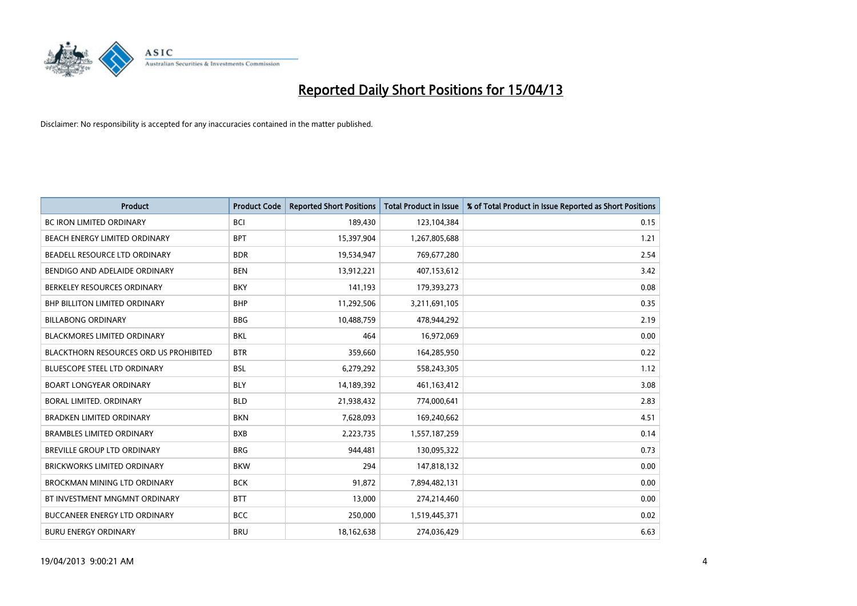

| <b>Product</b>                                | <b>Product Code</b> | <b>Reported Short Positions</b> | <b>Total Product in Issue</b> | % of Total Product in Issue Reported as Short Positions |
|-----------------------------------------------|---------------------|---------------------------------|-------------------------------|---------------------------------------------------------|
| <b>BC IRON LIMITED ORDINARY</b>               | <b>BCI</b>          | 189,430                         | 123,104,384                   | 0.15                                                    |
| BEACH ENERGY LIMITED ORDINARY                 | <b>BPT</b>          | 15,397,904                      | 1,267,805,688                 | 1.21                                                    |
| BEADELL RESOURCE LTD ORDINARY                 | <b>BDR</b>          | 19,534,947                      | 769,677,280                   | 2.54                                                    |
| BENDIGO AND ADELAIDE ORDINARY                 | <b>BEN</b>          | 13,912,221                      | 407,153,612                   | 3.42                                                    |
| BERKELEY RESOURCES ORDINARY                   | <b>BKY</b>          | 141,193                         | 179,393,273                   | 0.08                                                    |
| <b>BHP BILLITON LIMITED ORDINARY</b>          | <b>BHP</b>          | 11,292,506                      | 3,211,691,105                 | 0.35                                                    |
| <b>BILLABONG ORDINARY</b>                     | <b>BBG</b>          | 10,488,759                      | 478,944,292                   | 2.19                                                    |
| <b>BLACKMORES LIMITED ORDINARY</b>            | <b>BKL</b>          | 464                             | 16,972,069                    | 0.00                                                    |
| <b>BLACKTHORN RESOURCES ORD US PROHIBITED</b> | <b>BTR</b>          | 359,660                         | 164,285,950                   | 0.22                                                    |
| <b>BLUESCOPE STEEL LTD ORDINARY</b>           | <b>BSL</b>          | 6,279,292                       | 558,243,305                   | 1.12                                                    |
| <b>BOART LONGYEAR ORDINARY</b>                | <b>BLY</b>          | 14,189,392                      | 461,163,412                   | 3.08                                                    |
| BORAL LIMITED, ORDINARY                       | <b>BLD</b>          | 21,938,432                      | 774,000,641                   | 2.83                                                    |
| <b>BRADKEN LIMITED ORDINARY</b>               | <b>BKN</b>          | 7,628,093                       | 169,240,662                   | 4.51                                                    |
| <b>BRAMBLES LIMITED ORDINARY</b>              | <b>BXB</b>          | 2,223,735                       | 1,557,187,259                 | 0.14                                                    |
| <b>BREVILLE GROUP LTD ORDINARY</b>            | <b>BRG</b>          | 944,481                         | 130,095,322                   | 0.73                                                    |
| <b>BRICKWORKS LIMITED ORDINARY</b>            | <b>BKW</b>          | 294                             | 147,818,132                   | 0.00                                                    |
| <b>BROCKMAN MINING LTD ORDINARY</b>           | <b>BCK</b>          | 91,872                          | 7,894,482,131                 | 0.00                                                    |
| BT INVESTMENT MNGMNT ORDINARY                 | <b>BTT</b>          | 13,000                          | 274,214,460                   | 0.00                                                    |
| <b>BUCCANEER ENERGY LTD ORDINARY</b>          | <b>BCC</b>          | 250,000                         | 1,519,445,371                 | 0.02                                                    |
| <b>BURU ENERGY ORDINARY</b>                   | <b>BRU</b>          | 18,162,638                      | 274,036,429                   | 6.63                                                    |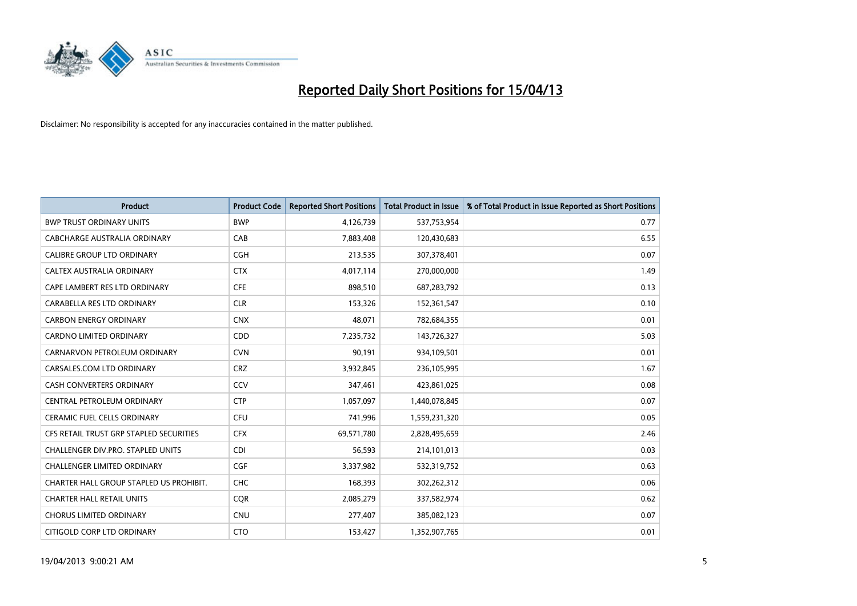

| <b>Product</b>                          | <b>Product Code</b> | <b>Reported Short Positions</b> | <b>Total Product in Issue</b> | % of Total Product in Issue Reported as Short Positions |
|-----------------------------------------|---------------------|---------------------------------|-------------------------------|---------------------------------------------------------|
| <b>BWP TRUST ORDINARY UNITS</b>         | <b>BWP</b>          | 4,126,739                       | 537,753,954                   | 0.77                                                    |
| CABCHARGE AUSTRALIA ORDINARY            | CAB                 | 7,883,408                       | 120,430,683                   | 6.55                                                    |
| <b>CALIBRE GROUP LTD ORDINARY</b>       | <b>CGH</b>          | 213,535                         | 307,378,401                   | 0.07                                                    |
| CALTEX AUSTRALIA ORDINARY               | <b>CTX</b>          | 4,017,114                       | 270,000,000                   | 1.49                                                    |
| CAPE LAMBERT RES LTD ORDINARY           | <b>CFE</b>          | 898,510                         | 687,283,792                   | 0.13                                                    |
| CARABELLA RES LTD ORDINARY              | <b>CLR</b>          | 153,326                         | 152,361,547                   | 0.10                                                    |
| <b>CARBON ENERGY ORDINARY</b>           | <b>CNX</b>          | 48,071                          | 782,684,355                   | 0.01                                                    |
| <b>CARDNO LIMITED ORDINARY</b>          | CDD                 | 7,235,732                       | 143,726,327                   | 5.03                                                    |
| CARNARVON PETROLEUM ORDINARY            | <b>CVN</b>          | 90,191                          | 934,109,501                   | 0.01                                                    |
| CARSALES.COM LTD ORDINARY               | <b>CRZ</b>          | 3,932,845                       | 236,105,995                   | 1.67                                                    |
| <b>CASH CONVERTERS ORDINARY</b>         | CCV                 | 347,461                         | 423,861,025                   | 0.08                                                    |
| CENTRAL PETROLEUM ORDINARY              | <b>CTP</b>          | 1,057,097                       | 1,440,078,845                 | 0.07                                                    |
| <b>CERAMIC FUEL CELLS ORDINARY</b>      | <b>CFU</b>          | 741,996                         | 1,559,231,320                 | 0.05                                                    |
| CFS RETAIL TRUST GRP STAPLED SECURITIES | <b>CFX</b>          | 69,571,780                      | 2,828,495,659                 | 2.46                                                    |
| CHALLENGER DIV.PRO. STAPLED UNITS       | <b>CDI</b>          | 56,593                          | 214,101,013                   | 0.03                                                    |
| <b>CHALLENGER LIMITED ORDINARY</b>      | <b>CGF</b>          | 3,337,982                       | 532,319,752                   | 0.63                                                    |
| CHARTER HALL GROUP STAPLED US PROHIBIT. | <b>CHC</b>          | 168,393                         | 302,262,312                   | 0.06                                                    |
| <b>CHARTER HALL RETAIL UNITS</b>        | <b>CQR</b>          | 2,085,279                       | 337,582,974                   | 0.62                                                    |
| <b>CHORUS LIMITED ORDINARY</b>          | <b>CNU</b>          | 277,407                         | 385,082,123                   | 0.07                                                    |
| CITIGOLD CORP LTD ORDINARY              | <b>CTO</b>          | 153,427                         | 1,352,907,765                 | 0.01                                                    |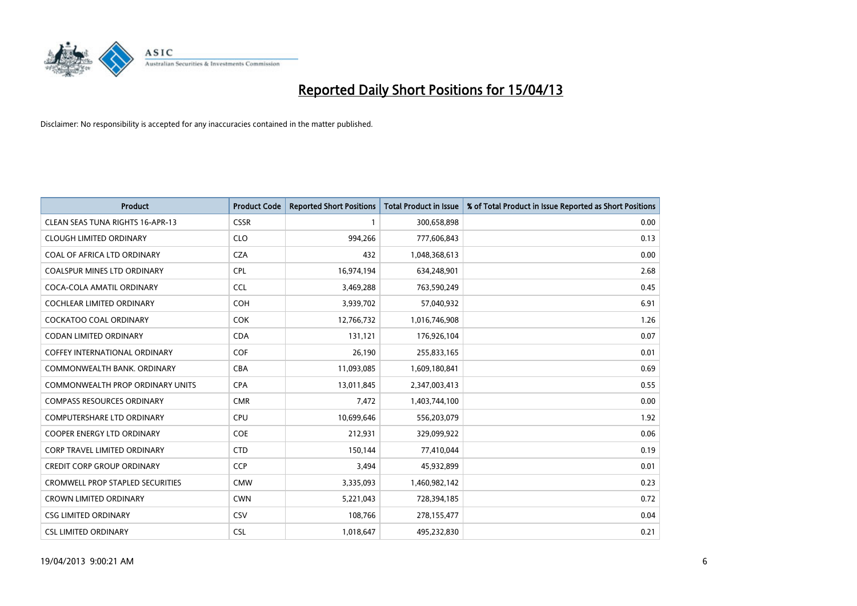

| <b>Product</b>                          | <b>Product Code</b> | <b>Reported Short Positions</b> | <b>Total Product in Issue</b> | % of Total Product in Issue Reported as Short Positions |
|-----------------------------------------|---------------------|---------------------------------|-------------------------------|---------------------------------------------------------|
| <b>CLEAN SEAS TUNA RIGHTS 16-APR-13</b> | <b>CSSR</b>         | $\mathbf{1}$                    | 300,658,898                   | 0.00                                                    |
| <b>CLOUGH LIMITED ORDINARY</b>          | <b>CLO</b>          | 994,266                         | 777,606,843                   | 0.13                                                    |
| COAL OF AFRICA LTD ORDINARY             | <b>CZA</b>          | 432                             | 1,048,368,613                 | 0.00                                                    |
| <b>COALSPUR MINES LTD ORDINARY</b>      | <b>CPL</b>          | 16,974,194                      | 634,248,901                   | 2.68                                                    |
| COCA-COLA AMATIL ORDINARY               | <b>CCL</b>          | 3,469,288                       | 763,590,249                   | 0.45                                                    |
| COCHLEAR LIMITED ORDINARY               | <b>COH</b>          | 3,939,702                       | 57,040,932                    | 6.91                                                    |
| <b>COCKATOO COAL ORDINARY</b>           | <b>COK</b>          | 12,766,732                      | 1,016,746,908                 | 1.26                                                    |
| CODAN LIMITED ORDINARY                  | <b>CDA</b>          | 131,121                         | 176,926,104                   | 0.07                                                    |
| <b>COFFEY INTERNATIONAL ORDINARY</b>    | <b>COF</b>          | 26,190                          | 255,833,165                   | 0.01                                                    |
| COMMONWEALTH BANK, ORDINARY             | <b>CBA</b>          | 11,093,085                      | 1,609,180,841                 | 0.69                                                    |
| COMMONWEALTH PROP ORDINARY UNITS        | <b>CPA</b>          | 13,011,845                      | 2,347,003,413                 | 0.55                                                    |
| <b>COMPASS RESOURCES ORDINARY</b>       | <b>CMR</b>          | 7,472                           | 1,403,744,100                 | 0.00                                                    |
| COMPUTERSHARE LTD ORDINARY              | <b>CPU</b>          | 10,699,646                      | 556,203,079                   | 1.92                                                    |
| <b>COOPER ENERGY LTD ORDINARY</b>       | <b>COE</b>          | 212,931                         | 329,099,922                   | 0.06                                                    |
| <b>CORP TRAVEL LIMITED ORDINARY</b>     | <b>CTD</b>          | 150,144                         | 77,410,044                    | 0.19                                                    |
| <b>CREDIT CORP GROUP ORDINARY</b>       | <b>CCP</b>          | 3,494                           | 45,932,899                    | 0.01                                                    |
| <b>CROMWELL PROP STAPLED SECURITIES</b> | <b>CMW</b>          | 3,335,093                       | 1,460,982,142                 | 0.23                                                    |
| <b>CROWN LIMITED ORDINARY</b>           | <b>CWN</b>          | 5,221,043                       | 728,394,185                   | 0.72                                                    |
| <b>CSG LIMITED ORDINARY</b>             | CSV                 | 108,766                         | 278,155,477                   | 0.04                                                    |
| <b>CSL LIMITED ORDINARY</b>             | <b>CSL</b>          | 1,018,647                       | 495,232,830                   | 0.21                                                    |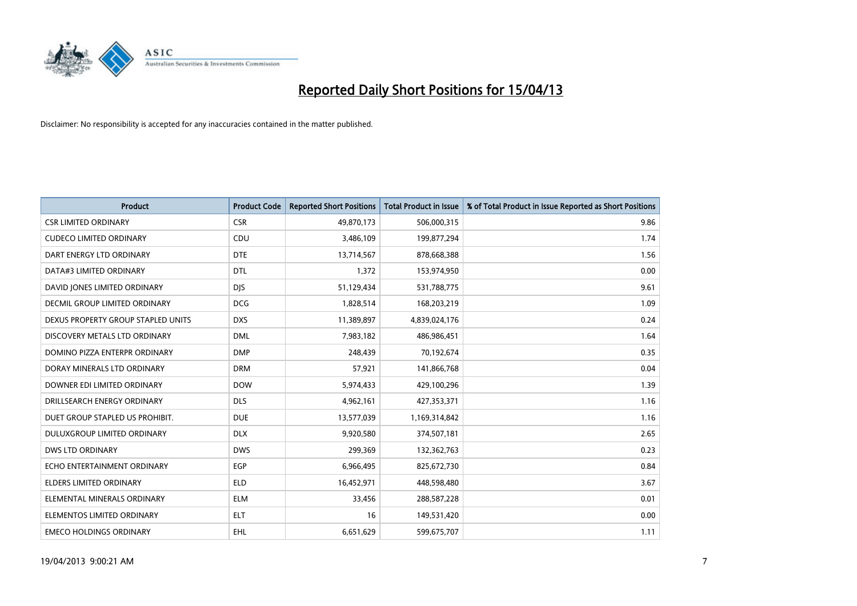

| <b>Product</b>                     | <b>Product Code</b> | <b>Reported Short Positions</b> | <b>Total Product in Issue</b> | % of Total Product in Issue Reported as Short Positions |
|------------------------------------|---------------------|---------------------------------|-------------------------------|---------------------------------------------------------|
| <b>CSR LIMITED ORDINARY</b>        | <b>CSR</b>          | 49,870,173                      | 506,000,315                   | 9.86                                                    |
| <b>CUDECO LIMITED ORDINARY</b>     | CDU                 | 3,486,109                       | 199,877,294                   | 1.74                                                    |
| DART ENERGY LTD ORDINARY           | <b>DTE</b>          | 13,714,567                      | 878,668,388                   | 1.56                                                    |
| DATA#3 LIMITED ORDINARY            | <b>DTL</b>          | 1,372                           | 153,974,950                   | 0.00                                                    |
| DAVID JONES LIMITED ORDINARY       | <b>DIS</b>          | 51,129,434                      | 531,788,775                   | 9.61                                                    |
| DECMIL GROUP LIMITED ORDINARY      | <b>DCG</b>          | 1,828,514                       | 168,203,219                   | 1.09                                                    |
| DEXUS PROPERTY GROUP STAPLED UNITS | <b>DXS</b>          | 11,389,897                      | 4,839,024,176                 | 0.24                                                    |
| DISCOVERY METALS LTD ORDINARY      | <b>DML</b>          | 7,983,182                       | 486,986,451                   | 1.64                                                    |
| DOMINO PIZZA ENTERPR ORDINARY      | <b>DMP</b>          | 248,439                         | 70,192,674                    | 0.35                                                    |
| DORAY MINERALS LTD ORDINARY        | <b>DRM</b>          | 57,921                          | 141,866,768                   | 0.04                                                    |
| DOWNER EDI LIMITED ORDINARY        | <b>DOW</b>          | 5,974,433                       | 429,100,296                   | 1.39                                                    |
| DRILLSEARCH ENERGY ORDINARY        | <b>DLS</b>          | 4,962,161                       | 427,353,371                   | 1.16                                                    |
| DUET GROUP STAPLED US PROHIBIT.    | <b>DUE</b>          | 13,577,039                      | 1,169,314,842                 | 1.16                                                    |
| DULUXGROUP LIMITED ORDINARY        | <b>DLX</b>          | 9,920,580                       | 374,507,181                   | 2.65                                                    |
| <b>DWS LTD ORDINARY</b>            | <b>DWS</b>          | 299,369                         | 132,362,763                   | 0.23                                                    |
| ECHO ENTERTAINMENT ORDINARY        | <b>EGP</b>          | 6,966,495                       | 825,672,730                   | 0.84                                                    |
| ELDERS LIMITED ORDINARY            | <b>ELD</b>          | 16,452,971                      | 448,598,480                   | 3.67                                                    |
| ELEMENTAL MINERALS ORDINARY        | <b>ELM</b>          | 33,456                          | 288,587,228                   | 0.01                                                    |
| ELEMENTOS LIMITED ORDINARY         | <b>ELT</b>          | 16                              | 149,531,420                   | 0.00                                                    |
| <b>EMECO HOLDINGS ORDINARY</b>     | EHL                 | 6,651,629                       | 599,675,707                   | 1.11                                                    |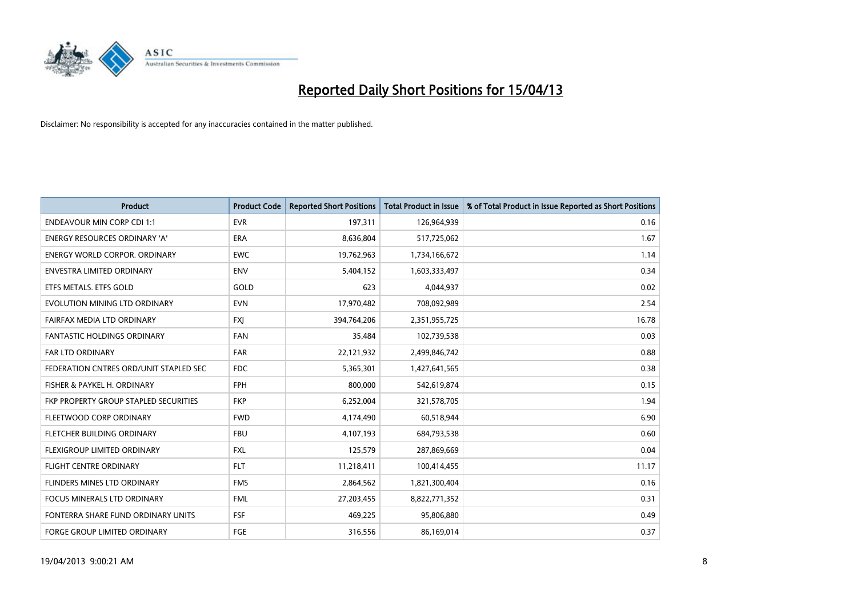

| <b>Product</b>                         | <b>Product Code</b> | <b>Reported Short Positions</b> | <b>Total Product in Issue</b> | % of Total Product in Issue Reported as Short Positions |
|----------------------------------------|---------------------|---------------------------------|-------------------------------|---------------------------------------------------------|
| <b>ENDEAVOUR MIN CORP CDI 1:1</b>      | <b>EVR</b>          | 197,311                         | 126,964,939                   | 0.16                                                    |
| ENERGY RESOURCES ORDINARY 'A'          | ERA                 | 8,636,804                       | 517,725,062                   | 1.67                                                    |
| <b>ENERGY WORLD CORPOR, ORDINARY</b>   | <b>EWC</b>          | 19,762,963                      | 1,734,166,672                 | 1.14                                                    |
| ENVESTRA LIMITED ORDINARY              | <b>ENV</b>          | 5,404,152                       | 1,603,333,497                 | 0.34                                                    |
| ETFS METALS. ETFS GOLD                 | GOLD                | 623                             | 4,044,937                     | 0.02                                                    |
| EVOLUTION MINING LTD ORDINARY          | <b>EVN</b>          | 17,970,482                      | 708,092,989                   | 2.54                                                    |
| FAIRFAX MEDIA LTD ORDINARY             | <b>FXI</b>          | 394,764,206                     | 2,351,955,725                 | 16.78                                                   |
| FANTASTIC HOLDINGS ORDINARY            | <b>FAN</b>          | 35,484                          | 102,739,538                   | 0.03                                                    |
| <b>FAR LTD ORDINARY</b>                | <b>FAR</b>          | 22,121,932                      | 2,499,846,742                 | 0.88                                                    |
| FEDERATION CNTRES ORD/UNIT STAPLED SEC | FDC                 | 5,365,301                       | 1,427,641,565                 | 0.38                                                    |
| FISHER & PAYKEL H. ORDINARY            | <b>FPH</b>          | 800,000                         | 542,619,874                   | 0.15                                                    |
| FKP PROPERTY GROUP STAPLED SECURITIES  | <b>FKP</b>          | 6,252,004                       | 321,578,705                   | 1.94                                                    |
| FLEETWOOD CORP ORDINARY                | <b>FWD</b>          | 4,174,490                       | 60,518,944                    | 6.90                                                    |
| FLETCHER BUILDING ORDINARY             | <b>FBU</b>          | 4,107,193                       | 684,793,538                   | 0.60                                                    |
| FLEXIGROUP LIMITED ORDINARY            | <b>FXL</b>          | 125,579                         | 287,869,669                   | 0.04                                                    |
| FLIGHT CENTRE ORDINARY                 | <b>FLT</b>          | 11,218,411                      | 100,414,455                   | 11.17                                                   |
| FLINDERS MINES LTD ORDINARY            | <b>FMS</b>          | 2,864,562                       | 1,821,300,404                 | 0.16                                                    |
| FOCUS MINERALS LTD ORDINARY            | <b>FML</b>          | 27,203,455                      | 8,822,771,352                 | 0.31                                                    |
| FONTERRA SHARE FUND ORDINARY UNITS     | <b>FSF</b>          | 469,225                         | 95,806,880                    | 0.49                                                    |
| <b>FORGE GROUP LIMITED ORDINARY</b>    | FGE                 | 316,556                         | 86,169,014                    | 0.37                                                    |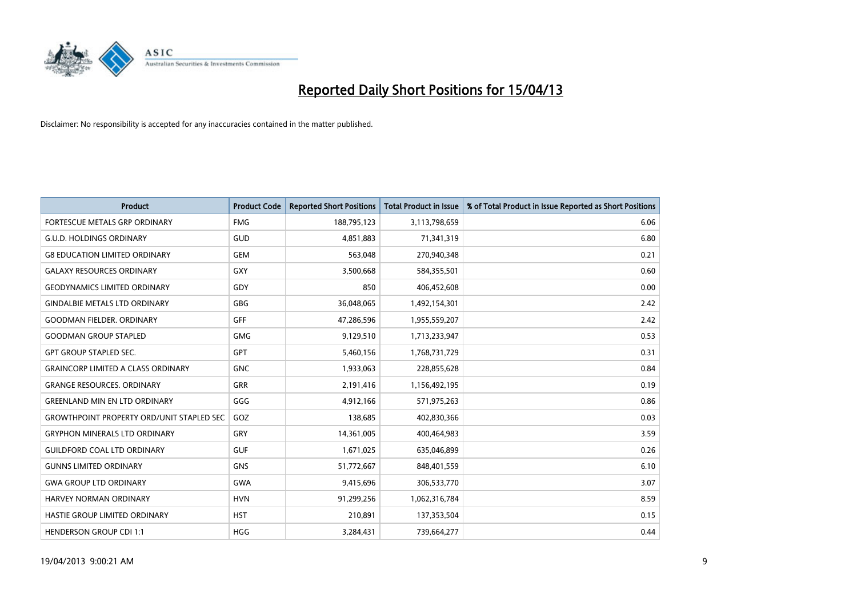

| <b>Product</b>                                   | <b>Product Code</b> | <b>Reported Short Positions</b> | <b>Total Product in Issue</b> | % of Total Product in Issue Reported as Short Positions |
|--------------------------------------------------|---------------------|---------------------------------|-------------------------------|---------------------------------------------------------|
| FORTESCUE METALS GRP ORDINARY                    | <b>FMG</b>          | 188,795,123                     | 3,113,798,659                 | 6.06                                                    |
| G.U.D. HOLDINGS ORDINARY                         | <b>GUD</b>          | 4,851,883                       | 71,341,319                    | 6.80                                                    |
| <b>G8 EDUCATION LIMITED ORDINARY</b>             | <b>GEM</b>          | 563,048                         | 270,940,348                   | 0.21                                                    |
| <b>GALAXY RESOURCES ORDINARY</b>                 | <b>GXY</b>          | 3,500,668                       | 584,355,501                   | 0.60                                                    |
| <b>GEODYNAMICS LIMITED ORDINARY</b>              | GDY                 | 850                             | 406,452,608                   | 0.00                                                    |
| <b>GINDALBIE METALS LTD ORDINARY</b>             | GBG                 | 36,048,065                      | 1,492,154,301                 | 2.42                                                    |
| <b>GOODMAN FIELDER. ORDINARY</b>                 | GFF                 | 47,286,596                      | 1,955,559,207                 | 2.42                                                    |
| <b>GOODMAN GROUP STAPLED</b>                     | <b>GMG</b>          | 9,129,510                       | 1,713,233,947                 | 0.53                                                    |
| <b>GPT GROUP STAPLED SEC.</b>                    | <b>GPT</b>          | 5,460,156                       | 1,768,731,729                 | 0.31                                                    |
| <b>GRAINCORP LIMITED A CLASS ORDINARY</b>        | <b>GNC</b>          | 1,933,063                       | 228,855,628                   | 0.84                                                    |
| <b>GRANGE RESOURCES. ORDINARY</b>                | GRR                 | 2,191,416                       | 1,156,492,195                 | 0.19                                                    |
| <b>GREENLAND MIN EN LTD ORDINARY</b>             | GGG                 | 4,912,166                       | 571,975,263                   | 0.86                                                    |
| <b>GROWTHPOINT PROPERTY ORD/UNIT STAPLED SEC</b> | GOZ                 | 138,685                         | 402,830,366                   | 0.03                                                    |
| <b>GRYPHON MINERALS LTD ORDINARY</b>             | GRY                 | 14,361,005                      | 400,464,983                   | 3.59                                                    |
| <b>GUILDFORD COAL LTD ORDINARY</b>               | <b>GUF</b>          | 1,671,025                       | 635,046,899                   | 0.26                                                    |
| <b>GUNNS LIMITED ORDINARY</b>                    | <b>GNS</b>          | 51,772,667                      | 848,401,559                   | 6.10                                                    |
| <b>GWA GROUP LTD ORDINARY</b>                    | GWA                 | 9,415,696                       | 306,533,770                   | 3.07                                                    |
| <b>HARVEY NORMAN ORDINARY</b>                    | <b>HVN</b>          | 91,299,256                      | 1,062,316,784                 | 8.59                                                    |
| HASTIE GROUP LIMITED ORDINARY                    | <b>HST</b>          | 210,891                         | 137,353,504                   | 0.15                                                    |
| <b>HENDERSON GROUP CDI 1:1</b>                   | <b>HGG</b>          | 3,284,431                       | 739,664,277                   | 0.44                                                    |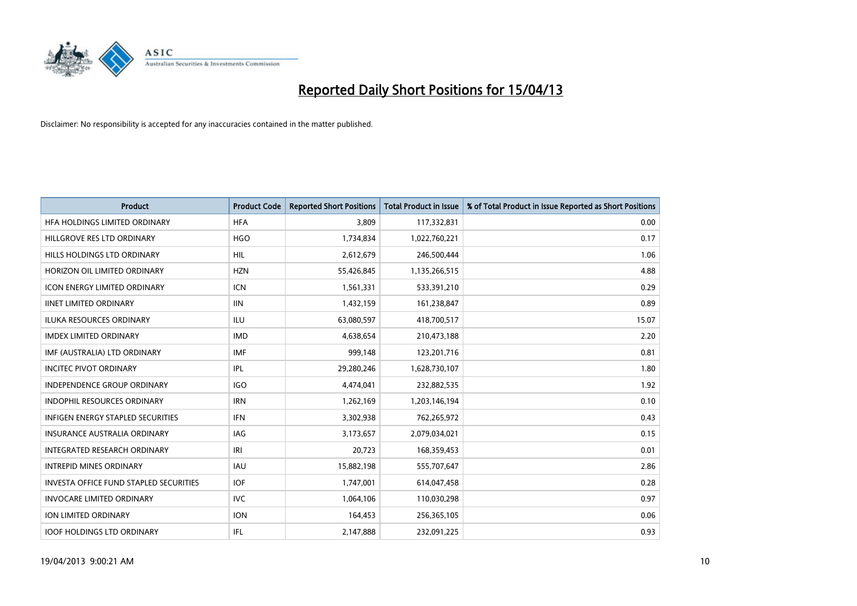

| <b>Product</b>                         | <b>Product Code</b> | <b>Reported Short Positions</b> | <b>Total Product in Issue</b> | % of Total Product in Issue Reported as Short Positions |
|----------------------------------------|---------------------|---------------------------------|-------------------------------|---------------------------------------------------------|
| HFA HOLDINGS LIMITED ORDINARY          | <b>HFA</b>          | 3,809                           | 117,332,831                   | 0.00                                                    |
| HILLGROVE RES LTD ORDINARY             | <b>HGO</b>          | 1,734,834                       | 1,022,760,221                 | 0.17                                                    |
| HILLS HOLDINGS LTD ORDINARY            | <b>HIL</b>          | 2,612,679                       | 246,500,444                   | 1.06                                                    |
| HORIZON OIL LIMITED ORDINARY           | <b>HZN</b>          | 55,426,845                      | 1,135,266,515                 | 4.88                                                    |
| <b>ICON ENERGY LIMITED ORDINARY</b>    | <b>ICN</b>          | 1,561,331                       | 533,391,210                   | 0.29                                                    |
| <b>IINET LIMITED ORDINARY</b>          | <b>IIN</b>          | 1,432,159                       | 161,238,847                   | 0.89                                                    |
| <b>ILUKA RESOURCES ORDINARY</b>        | ILU                 | 63,080,597                      | 418,700,517                   | 15.07                                                   |
| <b>IMDEX LIMITED ORDINARY</b>          | <b>IMD</b>          | 4,638,654                       | 210,473,188                   | 2.20                                                    |
| IMF (AUSTRALIA) LTD ORDINARY           | <b>IMF</b>          | 999,148                         | 123,201,716                   | 0.81                                                    |
| <b>INCITEC PIVOT ORDINARY</b>          | IPL                 | 29,280,246                      | 1,628,730,107                 | 1.80                                                    |
| INDEPENDENCE GROUP ORDINARY            | <b>IGO</b>          | 4,474,041                       | 232,882,535                   | 1.92                                                    |
| <b>INDOPHIL RESOURCES ORDINARY</b>     | <b>IRN</b>          | 1,262,169                       | 1,203,146,194                 | 0.10                                                    |
| INFIGEN ENERGY STAPLED SECURITIES      | <b>IFN</b>          | 3,302,938                       | 762,265,972                   | 0.43                                                    |
| <b>INSURANCE AUSTRALIA ORDINARY</b>    | IAG                 | 3,173,657                       | 2,079,034,021                 | 0.15                                                    |
| INTEGRATED RESEARCH ORDINARY           | IRI                 | 20,723                          | 168,359,453                   | 0.01                                                    |
| <b>INTREPID MINES ORDINARY</b>         | <b>IAU</b>          | 15,882,198                      | 555,707,647                   | 2.86                                                    |
| INVESTA OFFICE FUND STAPLED SECURITIES | <b>IOF</b>          | 1,747,001                       | 614,047,458                   | 0.28                                                    |
| <b>INVOCARE LIMITED ORDINARY</b>       | IVC.                | 1,064,106                       | 110,030,298                   | 0.97                                                    |
| ION LIMITED ORDINARY                   | <b>ION</b>          | 164,453                         | 256,365,105                   | 0.06                                                    |
| <b>IOOF HOLDINGS LTD ORDINARY</b>      | IFL                 | 2,147,888                       | 232,091,225                   | 0.93                                                    |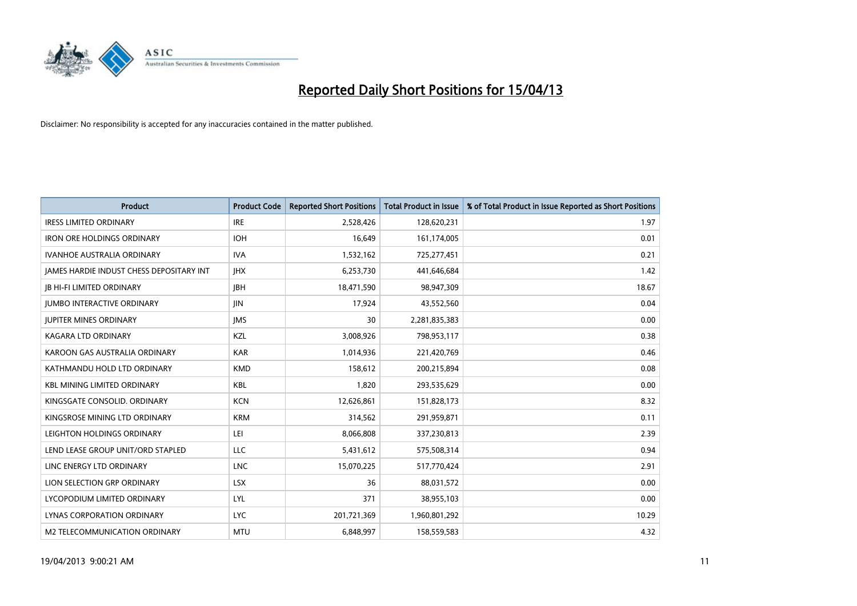

| <b>Product</b>                           | <b>Product Code</b> | <b>Reported Short Positions</b> | <b>Total Product in Issue</b> | % of Total Product in Issue Reported as Short Positions |
|------------------------------------------|---------------------|---------------------------------|-------------------------------|---------------------------------------------------------|
| <b>IRESS LIMITED ORDINARY</b>            | <b>IRE</b>          | 2,528,426                       | 128,620,231                   | 1.97                                                    |
| <b>IRON ORE HOLDINGS ORDINARY</b>        | <b>IOH</b>          | 16,649                          | 161,174,005                   | 0.01                                                    |
| <b>IVANHOE AUSTRALIA ORDINARY</b>        | <b>IVA</b>          | 1,532,162                       | 725,277,451                   | 0.21                                                    |
| JAMES HARDIE INDUST CHESS DEPOSITARY INT | <b>IHX</b>          | 6,253,730                       | 441,646,684                   | 1.42                                                    |
| <b>IB HI-FI LIMITED ORDINARY</b>         | <b>JBH</b>          | 18,471,590                      | 98,947,309                    | 18.67                                                   |
| <b>JUMBO INTERACTIVE ORDINARY</b>        | JIN.                | 17,924                          | 43,552,560                    | 0.04                                                    |
| <b>JUPITER MINES ORDINARY</b>            | <b>IMS</b>          | 30                              | 2,281,835,383                 | 0.00                                                    |
| <b>KAGARA LTD ORDINARY</b>               | KZL                 | 3,008,926                       | 798,953,117                   | 0.38                                                    |
| KAROON GAS AUSTRALIA ORDINARY            | <b>KAR</b>          | 1,014,936                       | 221,420,769                   | 0.46                                                    |
| KATHMANDU HOLD LTD ORDINARY              | <b>KMD</b>          | 158,612                         | 200,215,894                   | 0.08                                                    |
| <b>KBL MINING LIMITED ORDINARY</b>       | <b>KBL</b>          | 1,820                           | 293,535,629                   | 0.00                                                    |
| KINGSGATE CONSOLID. ORDINARY             | <b>KCN</b>          | 12,626,861                      | 151,828,173                   | 8.32                                                    |
| KINGSROSE MINING LTD ORDINARY            | <b>KRM</b>          | 314,562                         | 291,959,871                   | 0.11                                                    |
| LEIGHTON HOLDINGS ORDINARY               | LEI                 | 8,066,808                       | 337,230,813                   | 2.39                                                    |
| LEND LEASE GROUP UNIT/ORD STAPLED        | <b>LLC</b>          | 5,431,612                       | 575,508,314                   | 0.94                                                    |
| LINC ENERGY LTD ORDINARY                 | <b>LNC</b>          | 15,070,225                      | 517,770,424                   | 2.91                                                    |
| LION SELECTION GRP ORDINARY              | <b>LSX</b>          | 36                              | 88,031,572                    | 0.00                                                    |
| LYCOPODIUM LIMITED ORDINARY              | <b>LYL</b>          | 371                             | 38,955,103                    | 0.00                                                    |
| LYNAS CORPORATION ORDINARY               | <b>LYC</b>          | 201,721,369                     | 1,960,801,292                 | 10.29                                                   |
| M2 TELECOMMUNICATION ORDINARY            | <b>MTU</b>          | 6,848,997                       | 158,559,583                   | 4.32                                                    |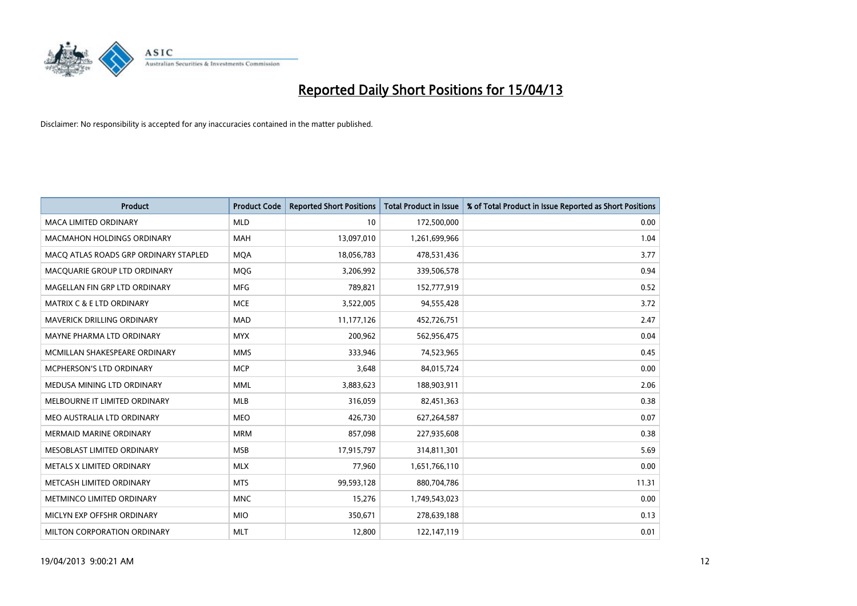

| <b>Product</b>                        | <b>Product Code</b> | <b>Reported Short Positions</b> | <b>Total Product in Issue</b> | % of Total Product in Issue Reported as Short Positions |
|---------------------------------------|---------------------|---------------------------------|-------------------------------|---------------------------------------------------------|
| <b>MACA LIMITED ORDINARY</b>          | <b>MLD</b>          | 10                              | 172,500,000                   | 0.00                                                    |
| <b>MACMAHON HOLDINGS ORDINARY</b>     | <b>MAH</b>          | 13,097,010                      | 1,261,699,966                 | 1.04                                                    |
| MACO ATLAS ROADS GRP ORDINARY STAPLED | <b>MQA</b>          | 18,056,783                      | 478,531,436                   | 3.77                                                    |
| MACQUARIE GROUP LTD ORDINARY          | <b>MOG</b>          | 3,206,992                       | 339,506,578                   | 0.94                                                    |
| MAGELLAN FIN GRP LTD ORDINARY         | <b>MFG</b>          | 789,821                         | 152,777,919                   | 0.52                                                    |
| <b>MATRIX C &amp; E LTD ORDINARY</b>  | <b>MCE</b>          | 3,522,005                       | 94,555,428                    | 3.72                                                    |
| <b>MAVERICK DRILLING ORDINARY</b>     | <b>MAD</b>          | 11,177,126                      | 452,726,751                   | 2.47                                                    |
| MAYNE PHARMA LTD ORDINARY             | <b>MYX</b>          | 200,962                         | 562,956,475                   | 0.04                                                    |
| MCMILLAN SHAKESPEARE ORDINARY         | <b>MMS</b>          | 333,946                         | 74,523,965                    | 0.45                                                    |
| MCPHERSON'S LTD ORDINARY              | <b>MCP</b>          | 3,648                           | 84,015,724                    | 0.00                                                    |
| MEDUSA MINING LTD ORDINARY            | MML                 | 3,883,623                       | 188,903,911                   | 2.06                                                    |
| MELBOURNE IT LIMITED ORDINARY         | <b>MLB</b>          | 316,059                         | 82,451,363                    | 0.38                                                    |
| MEO AUSTRALIA LTD ORDINARY            | <b>MEO</b>          | 426,730                         | 627,264,587                   | 0.07                                                    |
| <b>MERMAID MARINE ORDINARY</b>        | <b>MRM</b>          | 857,098                         | 227,935,608                   | 0.38                                                    |
| MESOBLAST LIMITED ORDINARY            | <b>MSB</b>          | 17,915,797                      | 314,811,301                   | 5.69                                                    |
| METALS X LIMITED ORDINARY             | <b>MLX</b>          | 77,960                          | 1,651,766,110                 | 0.00                                                    |
| METCASH LIMITED ORDINARY              | <b>MTS</b>          | 99,593,128                      | 880,704,786                   | 11.31                                                   |
| METMINCO LIMITED ORDINARY             | <b>MNC</b>          | 15,276                          | 1,749,543,023                 | 0.00                                                    |
| MICLYN EXP OFFSHR ORDINARY            | <b>MIO</b>          | 350,671                         | 278,639,188                   | 0.13                                                    |
| MILTON CORPORATION ORDINARY           | <b>MLT</b>          | 12,800                          | 122,147,119                   | 0.01                                                    |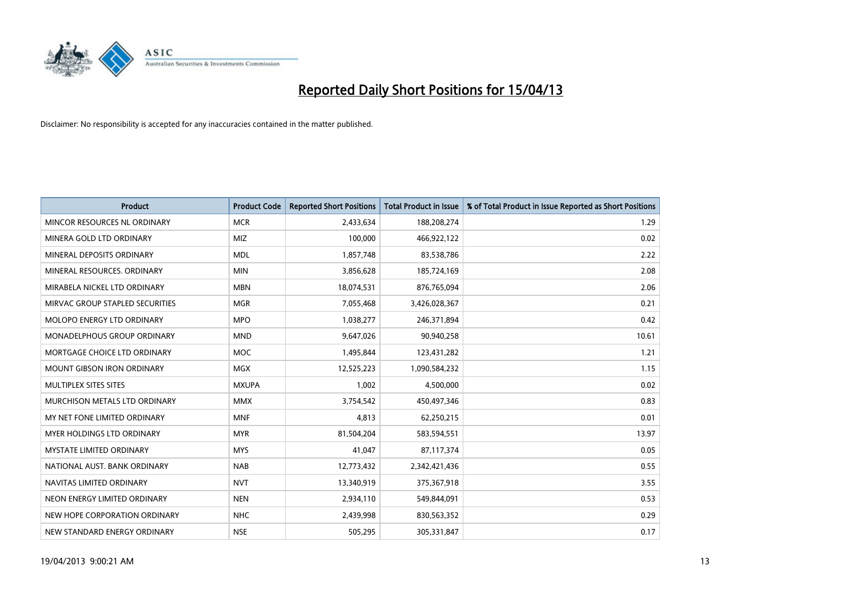

| <b>Product</b>                    | <b>Product Code</b> | <b>Reported Short Positions</b> | <b>Total Product in Issue</b> | % of Total Product in Issue Reported as Short Positions |
|-----------------------------------|---------------------|---------------------------------|-------------------------------|---------------------------------------------------------|
| MINCOR RESOURCES NL ORDINARY      | <b>MCR</b>          | 2,433,634                       | 188,208,274                   | 1.29                                                    |
| MINERA GOLD LTD ORDINARY          | <b>MIZ</b>          | 100,000                         | 466,922,122                   | 0.02                                                    |
| MINERAL DEPOSITS ORDINARY         | <b>MDL</b>          | 1,857,748                       | 83,538,786                    | 2.22                                                    |
| MINERAL RESOURCES. ORDINARY       | <b>MIN</b>          | 3,856,628                       | 185,724,169                   | 2.08                                                    |
| MIRABELA NICKEL LTD ORDINARY      | <b>MBN</b>          | 18,074,531                      | 876,765,094                   | 2.06                                                    |
| MIRVAC GROUP STAPLED SECURITIES   | <b>MGR</b>          | 7,055,468                       | 3,426,028,367                 | 0.21                                                    |
| MOLOPO ENERGY LTD ORDINARY        | <b>MPO</b>          | 1,038,277                       | 246,371,894                   | 0.42                                                    |
| MONADELPHOUS GROUP ORDINARY       | <b>MND</b>          | 9,647,026                       | 90,940,258                    | 10.61                                                   |
| MORTGAGE CHOICE LTD ORDINARY      | MOC                 | 1,495,844                       | 123,431,282                   | 1.21                                                    |
| <b>MOUNT GIBSON IRON ORDINARY</b> | <b>MGX</b>          | 12,525,223                      | 1,090,584,232                 | 1.15                                                    |
| MULTIPLEX SITES SITES             | <b>MXUPA</b>        | 1,002                           | 4,500,000                     | 0.02                                                    |
| MURCHISON METALS LTD ORDINARY     | <b>MMX</b>          | 3,754,542                       | 450,497,346                   | 0.83                                                    |
| MY NET FONE LIMITED ORDINARY      | <b>MNF</b>          | 4,813                           | 62,250,215                    | 0.01                                                    |
| MYER HOLDINGS LTD ORDINARY        | <b>MYR</b>          | 81,504,204                      | 583,594,551                   | 13.97                                                   |
| <b>MYSTATE LIMITED ORDINARY</b>   | <b>MYS</b>          | 41,047                          | 87,117,374                    | 0.05                                                    |
| NATIONAL AUST. BANK ORDINARY      | <b>NAB</b>          | 12,773,432                      | 2,342,421,436                 | 0.55                                                    |
| NAVITAS LIMITED ORDINARY          | <b>NVT</b>          | 13,340,919                      | 375,367,918                   | 3.55                                                    |
| NEON ENERGY LIMITED ORDINARY      | <b>NEN</b>          | 2,934,110                       | 549,844,091                   | 0.53                                                    |
| NEW HOPE CORPORATION ORDINARY     | <b>NHC</b>          | 2,439,998                       | 830,563,352                   | 0.29                                                    |
| NEW STANDARD ENERGY ORDINARY      | <b>NSE</b>          | 505,295                         | 305,331,847                   | 0.17                                                    |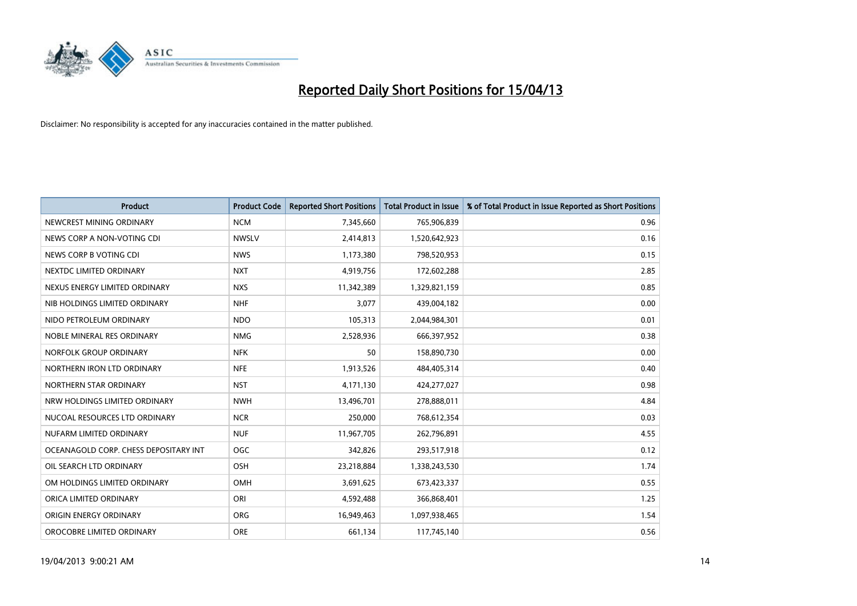

| <b>Product</b>                        | <b>Product Code</b> | <b>Reported Short Positions</b> | <b>Total Product in Issue</b> | % of Total Product in Issue Reported as Short Positions |
|---------------------------------------|---------------------|---------------------------------|-------------------------------|---------------------------------------------------------|
| NEWCREST MINING ORDINARY              | <b>NCM</b>          | 7,345,660                       | 765,906,839                   | 0.96                                                    |
| NEWS CORP A NON-VOTING CDI            | <b>NWSLV</b>        | 2,414,813                       | 1,520,642,923                 | 0.16                                                    |
| NEWS CORP B VOTING CDI                | <b>NWS</b>          | 1,173,380                       | 798,520,953                   | 0.15                                                    |
| NEXTDC LIMITED ORDINARY               | <b>NXT</b>          | 4,919,756                       | 172,602,288                   | 2.85                                                    |
| NEXUS ENERGY LIMITED ORDINARY         | <b>NXS</b>          | 11,342,389                      | 1,329,821,159                 | 0.85                                                    |
| NIB HOLDINGS LIMITED ORDINARY         | <b>NHF</b>          | 3,077                           | 439,004,182                   | 0.00                                                    |
| NIDO PETROLEUM ORDINARY               | <b>NDO</b>          | 105,313                         | 2,044,984,301                 | 0.01                                                    |
| NOBLE MINERAL RES ORDINARY            | <b>NMG</b>          | 2,528,936                       | 666,397,952                   | 0.38                                                    |
| NORFOLK GROUP ORDINARY                | <b>NFK</b>          | 50                              | 158,890,730                   | 0.00                                                    |
| NORTHERN IRON LTD ORDINARY            | <b>NFE</b>          | 1,913,526                       | 484,405,314                   | 0.40                                                    |
| NORTHERN STAR ORDINARY                | <b>NST</b>          | 4,171,130                       | 424,277,027                   | 0.98                                                    |
| NRW HOLDINGS LIMITED ORDINARY         | <b>NWH</b>          | 13,496,701                      | 278,888,011                   | 4.84                                                    |
| NUCOAL RESOURCES LTD ORDINARY         | <b>NCR</b>          | 250,000                         | 768,612,354                   | 0.03                                                    |
| NUFARM LIMITED ORDINARY               | <b>NUF</b>          | 11,967,705                      | 262,796,891                   | 4.55                                                    |
| OCEANAGOLD CORP. CHESS DEPOSITARY INT | <b>OGC</b>          | 342,826                         | 293,517,918                   | 0.12                                                    |
| OIL SEARCH LTD ORDINARY               | OSH                 | 23,218,884                      | 1,338,243,530                 | 1.74                                                    |
| OM HOLDINGS LIMITED ORDINARY          | OMH                 | 3,691,625                       | 673,423,337                   | 0.55                                                    |
| ORICA LIMITED ORDINARY                | ORI                 | 4,592,488                       | 366,868,401                   | 1.25                                                    |
| ORIGIN ENERGY ORDINARY                | <b>ORG</b>          | 16,949,463                      | 1,097,938,465                 | 1.54                                                    |
| OROCOBRE LIMITED ORDINARY             | <b>ORE</b>          | 661,134                         | 117,745,140                   | 0.56                                                    |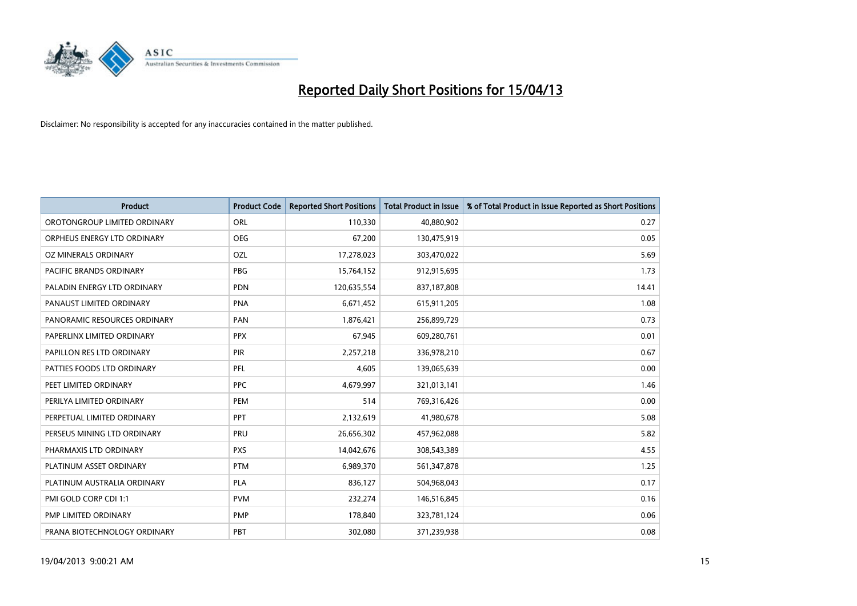

| <b>Product</b>               | <b>Product Code</b> | <b>Reported Short Positions</b> | <b>Total Product in Issue</b> | % of Total Product in Issue Reported as Short Positions |
|------------------------------|---------------------|---------------------------------|-------------------------------|---------------------------------------------------------|
| OROTONGROUP LIMITED ORDINARY | ORL                 | 110,330                         | 40,880,902                    | 0.27                                                    |
| ORPHEUS ENERGY LTD ORDINARY  | <b>OEG</b>          | 67.200                          | 130,475,919                   | 0.05                                                    |
| OZ MINERALS ORDINARY         | OZL                 | 17,278,023                      | 303,470,022                   | 5.69                                                    |
| PACIFIC BRANDS ORDINARY      | <b>PBG</b>          | 15,764,152                      | 912,915,695                   | 1.73                                                    |
| PALADIN ENERGY LTD ORDINARY  | <b>PDN</b>          | 120,635,554                     | 837,187,808                   | 14.41                                                   |
| PANAUST LIMITED ORDINARY     | <b>PNA</b>          | 6,671,452                       | 615,911,205                   | 1.08                                                    |
| PANORAMIC RESOURCES ORDINARY | PAN                 | 1,876,421                       | 256,899,729                   | 0.73                                                    |
| PAPERLINX LIMITED ORDINARY   | <b>PPX</b>          | 67,945                          | 609,280,761                   | 0.01                                                    |
| PAPILLON RES LTD ORDINARY    | <b>PIR</b>          | 2,257,218                       | 336,978,210                   | 0.67                                                    |
| PATTIES FOODS LTD ORDINARY   | PFL                 | 4,605                           | 139,065,639                   | 0.00                                                    |
| PEET LIMITED ORDINARY        | <b>PPC</b>          | 4,679,997                       | 321,013,141                   | 1.46                                                    |
| PERILYA LIMITED ORDINARY     | PEM                 | 514                             | 769,316,426                   | 0.00                                                    |
| PERPETUAL LIMITED ORDINARY   | <b>PPT</b>          | 2,132,619                       | 41,980,678                    | 5.08                                                    |
| PERSEUS MINING LTD ORDINARY  | <b>PRU</b>          | 26,656,302                      | 457,962,088                   | 5.82                                                    |
| PHARMAXIS LTD ORDINARY       | <b>PXS</b>          | 14,042,676                      | 308,543,389                   | 4.55                                                    |
| PLATINUM ASSET ORDINARY      | <b>PTM</b>          | 6,989,370                       | 561,347,878                   | 1.25                                                    |
| PLATINUM AUSTRALIA ORDINARY  | <b>PLA</b>          | 836,127                         | 504,968,043                   | 0.17                                                    |
| PMI GOLD CORP CDI 1:1        | <b>PVM</b>          | 232,274                         | 146,516,845                   | 0.16                                                    |
| PMP LIMITED ORDINARY         | <b>PMP</b>          | 178,840                         | 323,781,124                   | 0.06                                                    |
| PRANA BIOTECHNOLOGY ORDINARY | PBT                 | 302,080                         | 371,239,938                   | 0.08                                                    |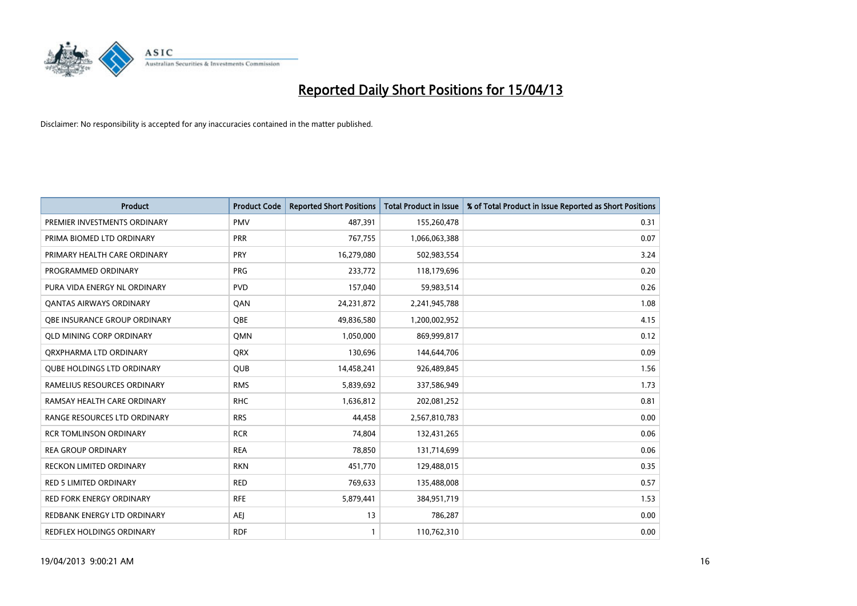

| <b>Product</b>                    | <b>Product Code</b> | <b>Reported Short Positions</b> | <b>Total Product in Issue</b> | % of Total Product in Issue Reported as Short Positions |
|-----------------------------------|---------------------|---------------------------------|-------------------------------|---------------------------------------------------------|
| PREMIER INVESTMENTS ORDINARY      | <b>PMV</b>          | 487,391                         | 155,260,478                   | 0.31                                                    |
| PRIMA BIOMED LTD ORDINARY         | <b>PRR</b>          | 767,755                         | 1,066,063,388                 | 0.07                                                    |
| PRIMARY HEALTH CARE ORDINARY      | <b>PRY</b>          | 16,279,080                      | 502,983,554                   | 3.24                                                    |
| PROGRAMMED ORDINARY               | <b>PRG</b>          | 233,772                         | 118,179,696                   | 0.20                                                    |
| PURA VIDA ENERGY NL ORDINARY      | <b>PVD</b>          | 157,040                         | 59,983,514                    | 0.26                                                    |
| <b>QANTAS AIRWAYS ORDINARY</b>    | QAN                 | 24,231,872                      | 2,241,945,788                 | 1.08                                                    |
| OBE INSURANCE GROUP ORDINARY      | <b>OBE</b>          | 49,836,580                      | 1,200,002,952                 | 4.15                                                    |
| <b>QLD MINING CORP ORDINARY</b>   | <b>OMN</b>          | 1,050,000                       | 869,999,817                   | 0.12                                                    |
| ORXPHARMA LTD ORDINARY            | <b>QRX</b>          | 130,696                         | 144,644,706                   | 0.09                                                    |
| <b>QUBE HOLDINGS LTD ORDINARY</b> | <b>QUB</b>          | 14,458,241                      | 926,489,845                   | 1.56                                                    |
| RAMELIUS RESOURCES ORDINARY       | <b>RMS</b>          | 5,839,692                       | 337,586,949                   | 1.73                                                    |
| RAMSAY HEALTH CARE ORDINARY       | <b>RHC</b>          | 1,636,812                       | 202,081,252                   | 0.81                                                    |
| RANGE RESOURCES LTD ORDINARY      | <b>RRS</b>          | 44,458                          | 2,567,810,783                 | 0.00                                                    |
| <b>RCR TOMLINSON ORDINARY</b>     | <b>RCR</b>          | 74,804                          | 132,431,265                   | 0.06                                                    |
| <b>REA GROUP ORDINARY</b>         | <b>REA</b>          | 78,850                          | 131,714,699                   | 0.06                                                    |
| RECKON LIMITED ORDINARY           | <b>RKN</b>          | 451,770                         | 129,488,015                   | 0.35                                                    |
| RED 5 LIMITED ORDINARY            | <b>RED</b>          | 769,633                         | 135,488,008                   | 0.57                                                    |
| <b>RED FORK ENERGY ORDINARY</b>   | <b>RFE</b>          | 5,879,441                       | 384,951,719                   | 1.53                                                    |
| REDBANK ENERGY LTD ORDINARY       | <b>AEI</b>          | 13                              | 786,287                       | 0.00                                                    |
| REDFLEX HOLDINGS ORDINARY         | <b>RDF</b>          | $\mathbf{1}$                    | 110,762,310                   | 0.00                                                    |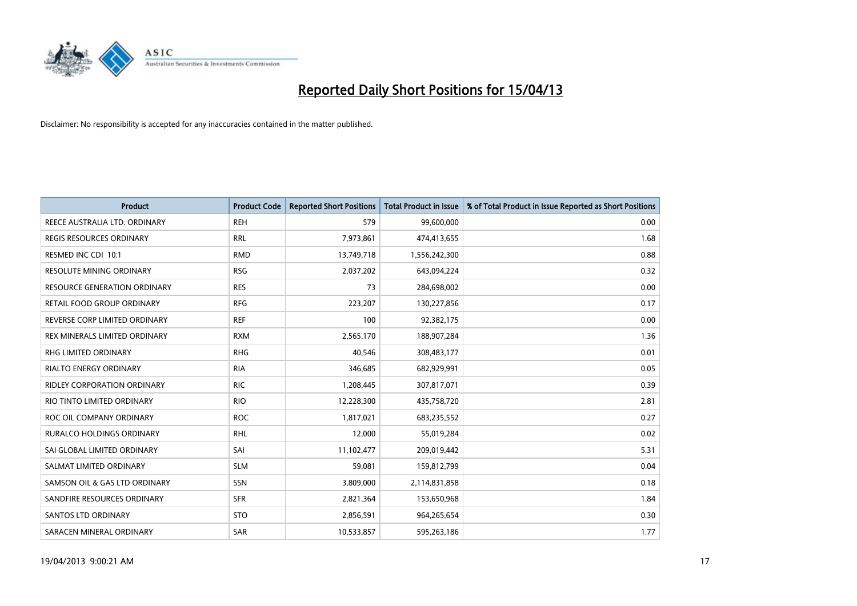

| <b>Product</b>                      | <b>Product Code</b> | <b>Reported Short Positions</b> | Total Product in Issue | % of Total Product in Issue Reported as Short Positions |
|-------------------------------------|---------------------|---------------------------------|------------------------|---------------------------------------------------------|
| REECE AUSTRALIA LTD. ORDINARY       | <b>REH</b>          | 579                             | 99,600,000             | 0.00                                                    |
| <b>REGIS RESOURCES ORDINARY</b>     | <b>RRL</b>          | 7,973,861                       | 474,413,655            | 1.68                                                    |
| RESMED INC CDI 10:1                 | <b>RMD</b>          | 13,749,718                      | 1,556,242,300          | 0.88                                                    |
| <b>RESOLUTE MINING ORDINARY</b>     | <b>RSG</b>          | 2,037,202                       | 643,094,224            | 0.32                                                    |
| <b>RESOURCE GENERATION ORDINARY</b> | <b>RES</b>          | 73                              | 284,698,002            | 0.00                                                    |
| RETAIL FOOD GROUP ORDINARY          | <b>RFG</b>          | 223,207                         | 130,227,856            | 0.17                                                    |
| REVERSE CORP LIMITED ORDINARY       | <b>REF</b>          | 100                             | 92,382,175             | 0.00                                                    |
| REX MINERALS LIMITED ORDINARY       | <b>RXM</b>          | 2,565,170                       | 188,907,284            | 1.36                                                    |
| <b>RHG LIMITED ORDINARY</b>         | <b>RHG</b>          | 40,546                          | 308,483,177            | 0.01                                                    |
| <b>RIALTO ENERGY ORDINARY</b>       | <b>RIA</b>          | 346,685                         | 682,929,991            | 0.05                                                    |
| <b>RIDLEY CORPORATION ORDINARY</b>  | <b>RIC</b>          | 1,208,445                       | 307,817,071            | 0.39                                                    |
| RIO TINTO LIMITED ORDINARY          | <b>RIO</b>          | 12,228,300                      | 435,758,720            | 2.81                                                    |
| ROC OIL COMPANY ORDINARY            | <b>ROC</b>          | 1,817,021                       | 683,235,552            | 0.27                                                    |
| <b>RURALCO HOLDINGS ORDINARY</b>    | <b>RHL</b>          | 12,000                          | 55,019,284             | 0.02                                                    |
| SAI GLOBAL LIMITED ORDINARY         | SAI                 | 11,102,477                      | 209,019,442            | 5.31                                                    |
| SALMAT LIMITED ORDINARY             | <b>SLM</b>          | 59,081                          | 159,812,799            | 0.04                                                    |
| SAMSON OIL & GAS LTD ORDINARY       | SSN                 | 3,809,000                       | 2,114,831,858          | 0.18                                                    |
| SANDFIRE RESOURCES ORDINARY         | <b>SFR</b>          | 2,821,364                       | 153,650,968            | 1.84                                                    |
| <b>SANTOS LTD ORDINARY</b>          | <b>STO</b>          | 2,856,591                       | 964,265,654            | 0.30                                                    |
| SARACEN MINERAL ORDINARY            | SAR                 | 10,533,857                      | 595,263,186            | 1.77                                                    |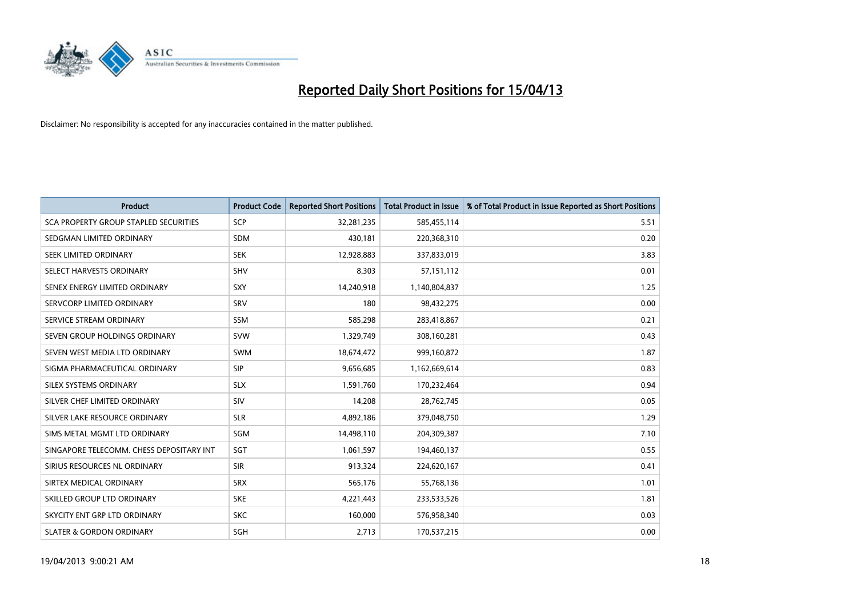

| <b>Product</b>                           | <b>Product Code</b> | <b>Reported Short Positions</b> | <b>Total Product in Issue</b> | % of Total Product in Issue Reported as Short Positions |
|------------------------------------------|---------------------|---------------------------------|-------------------------------|---------------------------------------------------------|
| SCA PROPERTY GROUP STAPLED SECURITIES    | <b>SCP</b>          | 32,281,235                      | 585,455,114                   | 5.51                                                    |
| SEDGMAN LIMITED ORDINARY                 | <b>SDM</b>          | 430,181                         | 220,368,310                   | 0.20                                                    |
| SEEK LIMITED ORDINARY                    | <b>SEK</b>          | 12,928,883                      | 337,833,019                   | 3.83                                                    |
| SELECT HARVESTS ORDINARY                 | <b>SHV</b>          | 8,303                           | 57,151,112                    | 0.01                                                    |
| SENEX ENERGY LIMITED ORDINARY            | <b>SXY</b>          | 14,240,918                      | 1,140,804,837                 | 1.25                                                    |
| SERVCORP LIMITED ORDINARY                | SRV                 | 180                             | 98,432,275                    | 0.00                                                    |
| SERVICE STREAM ORDINARY                  | SSM                 | 585,298                         | 283,418,867                   | 0.21                                                    |
| SEVEN GROUP HOLDINGS ORDINARY            | <b>SVW</b>          | 1,329,749                       | 308,160,281                   | 0.43                                                    |
| SEVEN WEST MEDIA LTD ORDINARY            | <b>SWM</b>          | 18,674,472                      | 999,160,872                   | 1.87                                                    |
| SIGMA PHARMACEUTICAL ORDINARY            | <b>SIP</b>          | 9,656,685                       | 1,162,669,614                 | 0.83                                                    |
| SILEX SYSTEMS ORDINARY                   | <b>SLX</b>          | 1,591,760                       | 170,232,464                   | 0.94                                                    |
| SILVER CHEF LIMITED ORDINARY             | SIV                 | 14,208                          | 28,762,745                    | 0.05                                                    |
| SILVER LAKE RESOURCE ORDINARY            | <b>SLR</b>          | 4,892,186                       | 379,048,750                   | 1.29                                                    |
| SIMS METAL MGMT LTD ORDINARY             | SGM                 | 14,498,110                      | 204,309,387                   | 7.10                                                    |
| SINGAPORE TELECOMM. CHESS DEPOSITARY INT | SGT                 | 1,061,597                       | 194,460,137                   | 0.55                                                    |
| SIRIUS RESOURCES NL ORDINARY             | <b>SIR</b>          | 913,324                         | 224,620,167                   | 0.41                                                    |
| SIRTEX MEDICAL ORDINARY                  | <b>SRX</b>          | 565,176                         | 55,768,136                    | 1.01                                                    |
| SKILLED GROUP LTD ORDINARY               | <b>SKE</b>          | 4,221,443                       | 233,533,526                   | 1.81                                                    |
| SKYCITY ENT GRP LTD ORDINARY             | <b>SKC</b>          | 160,000                         | 576,958,340                   | 0.03                                                    |
| <b>SLATER &amp; GORDON ORDINARY</b>      | SGH                 | 2,713                           | 170,537,215                   | 0.00                                                    |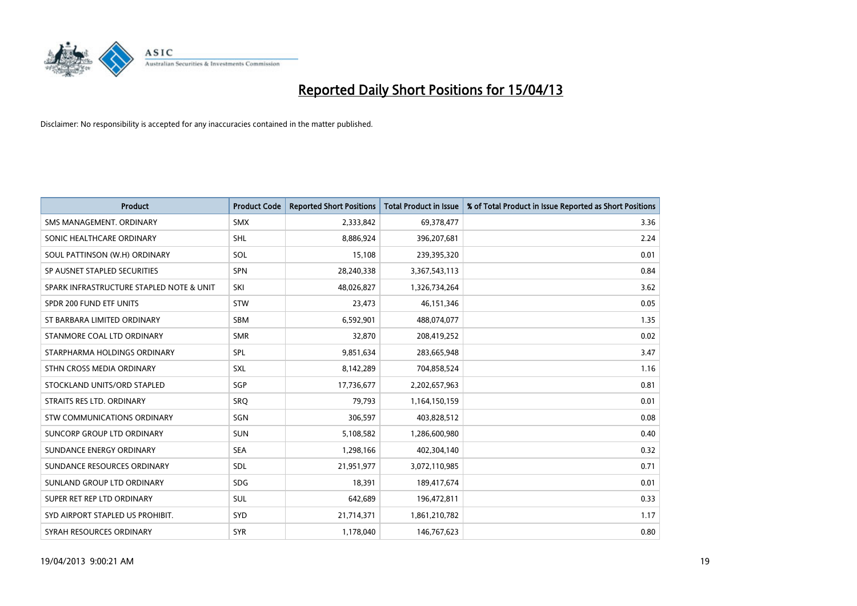

| <b>Product</b>                           | <b>Product Code</b> | <b>Reported Short Positions</b> | <b>Total Product in Issue</b> | % of Total Product in Issue Reported as Short Positions |
|------------------------------------------|---------------------|---------------------------------|-------------------------------|---------------------------------------------------------|
| SMS MANAGEMENT, ORDINARY                 | <b>SMX</b>          | 2,333,842                       | 69,378,477                    | 3.36                                                    |
| SONIC HEALTHCARE ORDINARY                | <b>SHL</b>          | 8,886,924                       | 396,207,681                   | 2.24                                                    |
| SOUL PATTINSON (W.H) ORDINARY            | <b>SOL</b>          | 15,108                          | 239,395,320                   | 0.01                                                    |
| SP AUSNET STAPLED SECURITIES             | <b>SPN</b>          | 28,240,338                      | 3,367,543,113                 | 0.84                                                    |
| SPARK INFRASTRUCTURE STAPLED NOTE & UNIT | SKI                 | 48,026,827                      | 1,326,734,264                 | 3.62                                                    |
| SPDR 200 FUND ETF UNITS                  | <b>STW</b>          | 23,473                          | 46, 151, 346                  | 0.05                                                    |
| ST BARBARA LIMITED ORDINARY              | <b>SBM</b>          | 6,592,901                       | 488,074,077                   | 1.35                                                    |
| STANMORE COAL LTD ORDINARY               | <b>SMR</b>          | 32,870                          | 208,419,252                   | 0.02                                                    |
| STARPHARMA HOLDINGS ORDINARY             | SPL                 | 9,851,634                       | 283,665,948                   | 3.47                                                    |
| STHN CROSS MEDIA ORDINARY                | <b>SXL</b>          | 8,142,289                       | 704,858,524                   | 1.16                                                    |
| STOCKLAND UNITS/ORD STAPLED              | SGP                 | 17,736,677                      | 2,202,657,963                 | 0.81                                                    |
| STRAITS RES LTD. ORDINARY                | SRQ                 | 79,793                          | 1,164,150,159                 | 0.01                                                    |
| STW COMMUNICATIONS ORDINARY              | SGN                 | 306,597                         | 403,828,512                   | 0.08                                                    |
| SUNCORP GROUP LTD ORDINARY               | <b>SUN</b>          | 5,108,582                       | 1,286,600,980                 | 0.40                                                    |
| SUNDANCE ENERGY ORDINARY                 | <b>SEA</b>          | 1,298,166                       | 402,304,140                   | 0.32                                                    |
| SUNDANCE RESOURCES ORDINARY              | SDL                 | 21,951,977                      | 3,072,110,985                 | 0.71                                                    |
| SUNLAND GROUP LTD ORDINARY               | <b>SDG</b>          | 18,391                          | 189,417,674                   | 0.01                                                    |
| SUPER RET REP LTD ORDINARY               | <b>SUL</b>          | 642,689                         | 196,472,811                   | 0.33                                                    |
| SYD AIRPORT STAPLED US PROHIBIT.         | SYD                 | 21,714,371                      | 1,861,210,782                 | 1.17                                                    |
| SYRAH RESOURCES ORDINARY                 | <b>SYR</b>          | 1,178,040                       | 146,767,623                   | 0.80                                                    |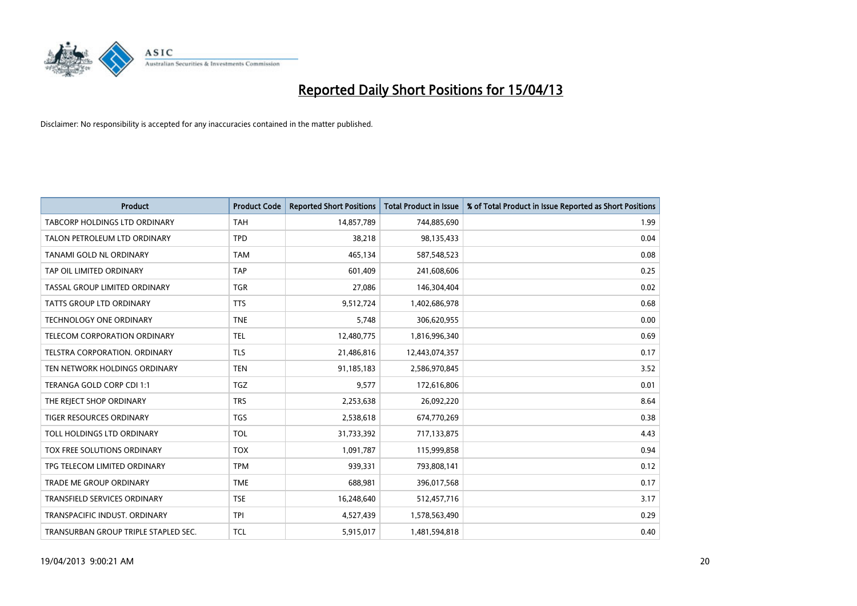

| <b>Product</b>                       | <b>Product Code</b> | <b>Reported Short Positions</b> | <b>Total Product in Issue</b> | % of Total Product in Issue Reported as Short Positions |
|--------------------------------------|---------------------|---------------------------------|-------------------------------|---------------------------------------------------------|
| <b>TABCORP HOLDINGS LTD ORDINARY</b> | <b>TAH</b>          | 14,857,789                      | 744,885,690                   | 1.99                                                    |
| TALON PETROLEUM LTD ORDINARY         | <b>TPD</b>          | 38,218                          | 98,135,433                    | 0.04                                                    |
| TANAMI GOLD NL ORDINARY              | <b>TAM</b>          | 465,134                         | 587,548,523                   | 0.08                                                    |
| TAP OIL LIMITED ORDINARY             | <b>TAP</b>          | 601,409                         | 241,608,606                   | 0.25                                                    |
| TASSAL GROUP LIMITED ORDINARY        | <b>TGR</b>          | 27,086                          | 146,304,404                   | 0.02                                                    |
| <b>TATTS GROUP LTD ORDINARY</b>      | <b>TTS</b>          | 9,512,724                       | 1,402,686,978                 | 0.68                                                    |
| TECHNOLOGY ONE ORDINARY              | <b>TNE</b>          | 5,748                           | 306,620,955                   | 0.00                                                    |
| <b>TELECOM CORPORATION ORDINARY</b>  | <b>TEL</b>          | 12,480,775                      | 1,816,996,340                 | 0.69                                                    |
| TELSTRA CORPORATION, ORDINARY        | <b>TLS</b>          | 21,486,816                      | 12,443,074,357                | 0.17                                                    |
| TEN NETWORK HOLDINGS ORDINARY        | <b>TEN</b>          | 91,185,183                      | 2,586,970,845                 | 3.52                                                    |
| TERANGA GOLD CORP CDI 1:1            | <b>TGZ</b>          | 9,577                           | 172,616,806                   | 0.01                                                    |
| THE REJECT SHOP ORDINARY             | <b>TRS</b>          | 2,253,638                       | 26,092,220                    | 8.64                                                    |
| <b>TIGER RESOURCES ORDINARY</b>      | <b>TGS</b>          | 2,538,618                       | 674,770,269                   | 0.38                                                    |
| TOLL HOLDINGS LTD ORDINARY           | <b>TOL</b>          | 31,733,392                      | 717,133,875                   | 4.43                                                    |
| TOX FREE SOLUTIONS ORDINARY          | <b>TOX</b>          | 1,091,787                       | 115,999,858                   | 0.94                                                    |
| TPG TELECOM LIMITED ORDINARY         | <b>TPM</b>          | 939,331                         | 793,808,141                   | 0.12                                                    |
| TRADE ME GROUP ORDINARY              | <b>TME</b>          | 688,981                         | 396,017,568                   | 0.17                                                    |
| TRANSFIELD SERVICES ORDINARY         | <b>TSE</b>          | 16,248,640                      | 512,457,716                   | 3.17                                                    |
| TRANSPACIFIC INDUST, ORDINARY        | <b>TPI</b>          | 4,527,439                       | 1,578,563,490                 | 0.29                                                    |
| TRANSURBAN GROUP TRIPLE STAPLED SEC. | <b>TCL</b>          | 5,915,017                       | 1,481,594,818                 | 0.40                                                    |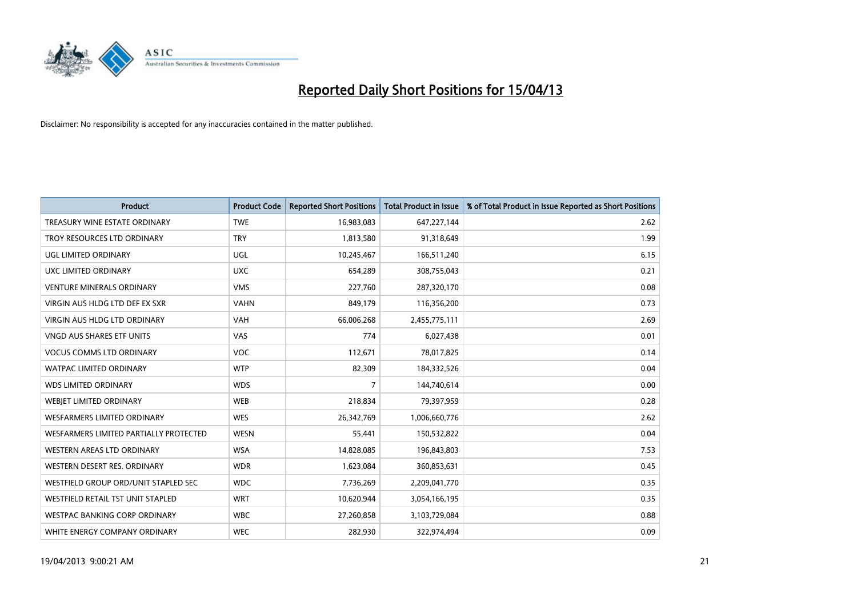

| <b>Product</b>                         | <b>Product Code</b> | <b>Reported Short Positions</b> | <b>Total Product in Issue</b> | % of Total Product in Issue Reported as Short Positions |
|----------------------------------------|---------------------|---------------------------------|-------------------------------|---------------------------------------------------------|
| TREASURY WINE ESTATE ORDINARY          | <b>TWE</b>          | 16,983,083                      | 647,227,144                   | 2.62                                                    |
| TROY RESOURCES LTD ORDINARY            | <b>TRY</b>          | 1,813,580                       | 91,318,649                    | 1.99                                                    |
| UGL LIMITED ORDINARY                   | UGL                 | 10,245,467                      | 166,511,240                   | 6.15                                                    |
| UXC LIMITED ORDINARY                   | <b>UXC</b>          | 654,289                         | 308,755,043                   | 0.21                                                    |
| <b>VENTURE MINERALS ORDINARY</b>       | <b>VMS</b>          | 227,760                         | 287,320,170                   | 0.08                                                    |
| VIRGIN AUS HLDG LTD DEF EX SXR         | <b>VAHN</b>         | 849,179                         | 116,356,200                   | 0.73                                                    |
| VIRGIN AUS HLDG LTD ORDINARY           | <b>VAH</b>          | 66,006,268                      | 2,455,775,111                 | 2.69                                                    |
| VNGD AUS SHARES ETF UNITS              | VAS                 | 774                             | 6,027,438                     | 0.01                                                    |
| <b>VOCUS COMMS LTD ORDINARY</b>        | <b>VOC</b>          | 112,671                         | 78,017,825                    | 0.14                                                    |
| <b>WATPAC LIMITED ORDINARY</b>         | <b>WTP</b>          | 82,309                          | 184,332,526                   | 0.04                                                    |
| <b>WDS LIMITED ORDINARY</b>            | <b>WDS</b>          | 7                               | 144,740,614                   | 0.00                                                    |
| WEBIET LIMITED ORDINARY                | <b>WEB</b>          | 218,834                         | 79,397,959                    | 0.28                                                    |
| <b>WESFARMERS LIMITED ORDINARY</b>     | <b>WES</b>          | 26,342,769                      | 1,006,660,776                 | 2.62                                                    |
| WESFARMERS LIMITED PARTIALLY PROTECTED | <b>WESN</b>         | 55,441                          | 150,532,822                   | 0.04                                                    |
| WESTERN AREAS LTD ORDINARY             | <b>WSA</b>          | 14,828,085                      | 196,843,803                   | 7.53                                                    |
| WESTERN DESERT RES. ORDINARY           | <b>WDR</b>          | 1,623,084                       | 360,853,631                   | 0.45                                                    |
| WESTFIELD GROUP ORD/UNIT STAPLED SEC   | <b>WDC</b>          | 7,736,269                       | 2,209,041,770                 | 0.35                                                    |
| WESTFIELD RETAIL TST UNIT STAPLED      | <b>WRT</b>          | 10,620,944                      | 3,054,166,195                 | 0.35                                                    |
| <b>WESTPAC BANKING CORP ORDINARY</b>   | <b>WBC</b>          | 27,260,858                      | 3,103,729,084                 | 0.88                                                    |
| WHITE ENERGY COMPANY ORDINARY          | <b>WEC</b>          | 282,930                         | 322,974,494                   | 0.09                                                    |